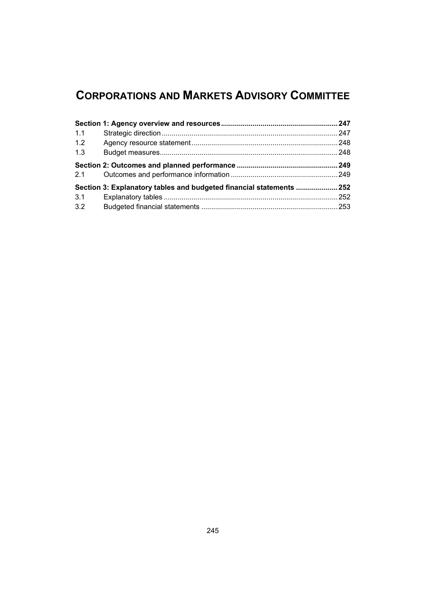# **CORPORATIONS AND MARKETS ADVISORY COMMITTEE**

| 1.1 |                                                                      |  |
|-----|----------------------------------------------------------------------|--|
| 1.2 |                                                                      |  |
| 1.3 |                                                                      |  |
| 2.1 |                                                                      |  |
|     | Section 3: Explanatory tables and budgeted financial statements  252 |  |
| 3.1 |                                                                      |  |
| 3.2 |                                                                      |  |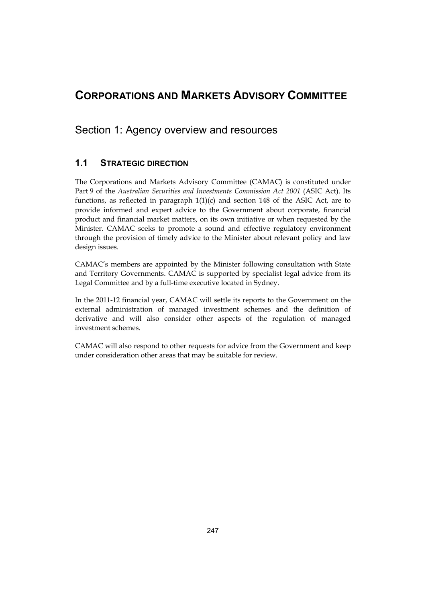## <span id="page-2-0"></span>**CORPORATIONS AND MARKETS ADVISORY COMMITTEE**

Section 1: Agency overview and resources

## **1.1 STRATEGIC DIRECTION**

 functions, as reflected in paragraph 1(1)(c) and section 148 of the ASIC Act, are to The Corporations and Markets Advisory Committee (CAMAC) is constituted under Part 9 of the *Australian Securities and Investments Commission Act 2001* (ASIC Act). Its provide informed and expert advice to the Government about corporate, financial product and financial market matters, on its own initiative or when requested by the Minister. CAMAC seeks to promote a sound and effective regulatory environment through the provision of timely advice to the Minister about relevant policy and law design issues.

CAMAC's members are appointed by the Minister following consultation with State and Territory Governments. CAMAC is supported by specialist legal advice from its Legal Committee and by a full-time executive located in Sydney.

In the 2011-12 financial year, CAMAC will settle its reports to the Government on the external administration of managed investment schemes and the definition of derivative and will also consider other aspects of the regulation of managed investment schemes.

CAMAC will also respond to other requests for advice from the Government and keep under consideration other areas that may be suitable for review.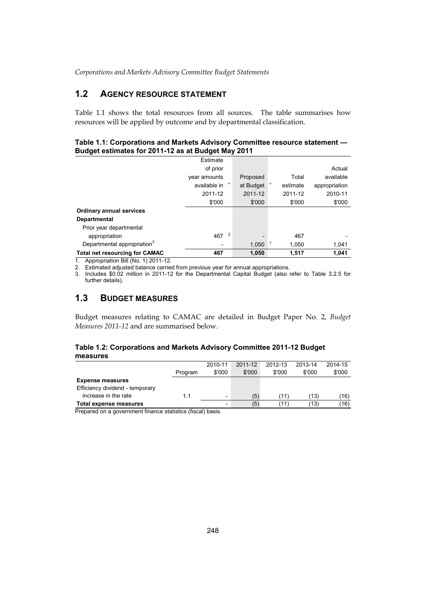## **1.2 AGENCY RESOURCE STATEMENT**

Table 1.1 shows the total resources from all sources. The table summarises how resources will be applied by outcome and by departmental classification.

### **Table 1.1: Corporations and Markets Advisory Committee resource statement — Budget estimates for 2011-12 as at Budget May 2011**

| -                                       |                       |           |          |               |
|-----------------------------------------|-----------------------|-----------|----------|---------------|
|                                         | Estimate              |           |          |               |
|                                         | of prior              |           |          | Actual        |
|                                         | year amounts          | Proposed  | Total    | available     |
|                                         | available in +        | at Budget | estimate | appropriation |
|                                         | 2011-12               | 2011-12   | 2011-12  | 2010-11       |
|                                         | \$'000                | \$'000    | \$'000   | \$'000        |
| <b>Ordinary annual services</b>         |                       |           |          |               |
| <b>Departmental</b>                     |                       |           |          |               |
| Prior year departmental                 |                       |           |          |               |
| appropriation                           | $\overline{2}$<br>467 |           | 467      |               |
| Departmental appropriation <sup>3</sup> |                       | 1,050     | 1,050    | 1,041         |
| <b>Total net resourcing for CAMAC</b>   | 467                   | 1,050     | 1.517    | 1.041         |

1. Appropriation Bill (No. 1) 2011-12.

2. Estimated adjusted balance carried from previous year for annual appropriations.

3. Includes \$0.02 million in 2011-12 for the Departmental Capital Budget (also refer to Table 3.2.5 for further details).

## **1.3 BUDGET MEASURES**

 *Measures 2011-12* and are summarised below. Budget measures relating to CAMAC are detailed in Budget Paper No. 2, *Budget* 

### **Table 1.2: Corporations and Markets Advisory Committee 2011-12 Budget measures**

|                                 |         | 2010-11 | 2011-12 | 2012-13 | 2013-14 | 2014-15 |
|---------------------------------|---------|---------|---------|---------|---------|---------|
|                                 | Program | \$'000  | \$'000  | \$'000  | \$'000  | \$'000  |
| <b>Expense measures</b>         |         |         |         |         |         |         |
| Efficiency dividend - temporary |         |         |         |         |         |         |
| increase in the rate            | 1.1     | -       | (5)     | (11)    | (13)    | (16)    |
| Total expense measures          |         |         | (5)     | '11)    | (13)    | (16)    |

Prepared on a government finance statistics (fiscal) basis.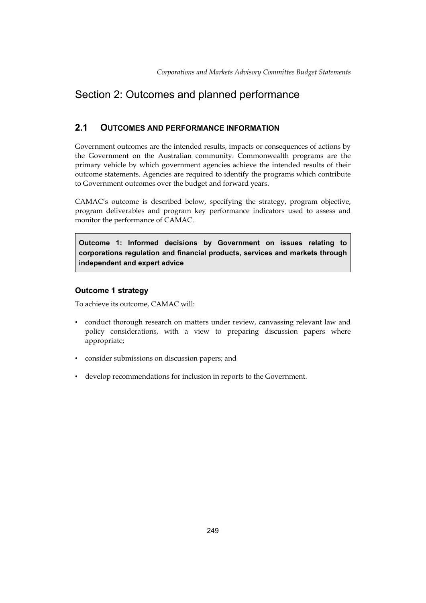## <span id="page-4-0"></span>Section 2: Outcomes and planned performance

## **2.1 OUTCOMES AND PERFORMANCE INFORMATION**

 Government outcomes are the intended results, impacts or consequences of actions by the Government on the Australian community. Commonwealth programs are the primary vehicle by which government agencies achieve the intended results of their outcome statements. Agencies are required to identify the programs which contribute to Government outcomes over the budget and forward years.

CAMAC's outcome is described below, specifying the strategy, program objective, program deliverables and program key performance indicators used to assess and monitor the performance of CAMAC.

**Outcome 1: Informed decisions by Government on issues relating to corporations regulation and financial products, services and markets through independent and expert advice** 

## **Outcome 1 strategy**

To achieve its outcome, CAMAC will:

- • conduct thorough research on matters under review, canvassing relevant law and policy considerations, with a view to preparing discussion papers where appropriate;
- • consider submissions on discussion papers; and
- • develop recommendations for inclusion in reports to the Government.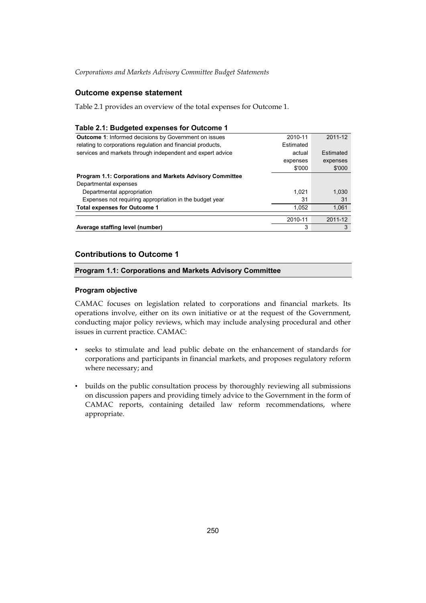## **Outcome expense statement**

Table 2.1 provides an overview of the total expenses for Outcome 1.

### **Table 2.1: Budgeted expenses for Outcome 1**

| Average staffing level (number)                                 | 3         | 3         |
|-----------------------------------------------------------------|-----------|-----------|
|                                                                 | 2010-11   | 2011-12   |
|                                                                 |           |           |
| <b>Total expenses for Outcome 1</b>                             | 1.052     | 1.061     |
| Expenses not requiring appropriation in the budget year         | 31        | 31        |
| Departmental appropriation                                      | 1.021     | 1,030     |
| Departmental expenses                                           |           |           |
| <b>Program 1.1: Corporations and Markets Advisory Committee</b> |           |           |
|                                                                 | \$'000    | \$'000    |
|                                                                 | expenses  | expenses  |
| services and markets through independent and expert advice      | actual    | Estimated |
| relating to corporations regulation and financial products,     | Estimated |           |
| <b>Outcome 1:</b> Informed decisions by Government on issues    | 2010-11   | 2011-12   |

## **Contributions to Outcome 1**

### **Program 1.1: Corporations and Markets Advisory Committee**

### **Program objective**

CAMAC focuses on legislation related to corporations and financial markets. Its operations involve, either on its own initiative or at the request of the Government, conducting major policy reviews, which may include analysing procedural and other issues in current practice. CAMAC:

- • seeks to stimulate and lead public debate on the enhancement of standards for corporations and participants in financial markets, and proposes regulatory reform where necessary; and
- builds on the public consultation process by thoroughly reviewing all submissions on discussion papers and providing timely advice to the Government in the form of CAMAC reports, containing detailed law reform recommendations, where appropriate.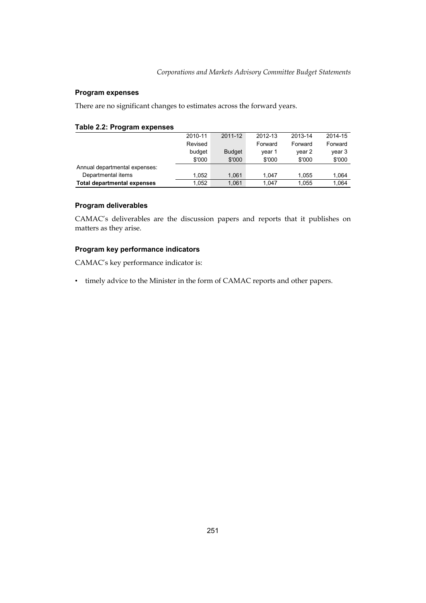### **Program expenses**

There are no significant changes to estimates across the forward years.

### **Table 2.2: Program expenses**

|                                    | 2010-11 | 2011-12       | 2012-13 | 2013-14 | 2014-15 |
|------------------------------------|---------|---------------|---------|---------|---------|
|                                    | Revised |               | Forward | Forward | Forward |
|                                    | budget  | <b>Budget</b> | vear 1  | year 2  | year 3  |
|                                    | \$'000  | \$'000        | \$'000  | \$'000  | \$'000  |
| Annual departmental expenses:      |         |               |         |         |         |
| Departmental items                 | 1.052   | 1.061         | 1.047   | 1.055   | 1.064   |
| <b>Total departmental expenses</b> | 1.052   | 1.061         | 1.047   | 1.055   | 1.064   |

### **Program deliverables**

CAMAC's deliverables are the discussion papers and reports that it publishes on matters as they arise.

### **Program key performance indicators**

CAMAC's key performance indicator is:

• timely advice to the Minister in the form of CAMAC reports and other papers.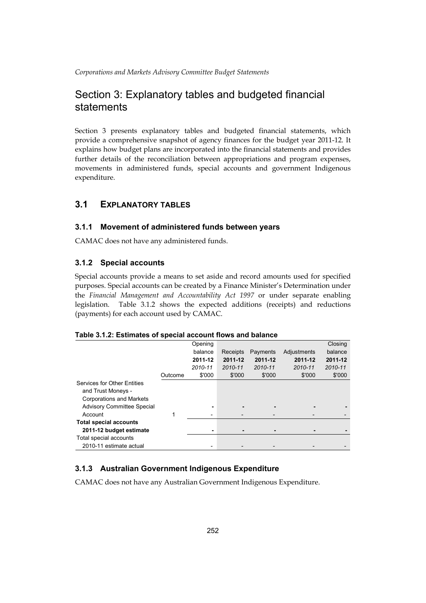## Section 3: Explanatory tables and budgeted financial statements

Section 3 presents explanatory tables and budgeted financial statements, which provide a comprehensive snapshot of agency finances for the budget year 2011-12. It explains how budget plans are incorporated into the financial statements and provides further details of the reconciliation between appropriations and program expenses, movements in administered funds, special accounts and government Indigenous expenditure.

## **3.1 EXPLANATORY TABLES**

## **3.1.1 Movement of administered funds between years**

CAMAC does not have any administered funds.

## **3.1.2 Special accounts**

legislation. Special accounts provide a means to set aside and record amounts used for specified purposes. Special accounts can be created by a Finance Minister's Determination under the *Financial Management and Accountability Act 1997* or under separate enabling Table 3.1.2 shows the expected additions (receipts) and reductions (payments) for each account used by CAMAC.

### **Table 3.1.2: Estimates of special account flows and balance**

|                                                                                             |         | Opening                  |                          |          |             | Closing |
|---------------------------------------------------------------------------------------------|---------|--------------------------|--------------------------|----------|-------------|---------|
|                                                                                             |         | balance                  | Receipts                 | Payments | Adjustments | balance |
|                                                                                             |         | 2011-12                  | 2011-12                  | 2011-12  | 2011-12     | 2011-12 |
|                                                                                             |         | 2010-11                  | 2010-11                  | 2010-11  | 2010-11     | 2010-11 |
|                                                                                             | Outcome | \$'000                   | \$'000                   | \$'000   | \$'000      | \$'000  |
| <b>Services for Other Entities</b><br>and Trust Moneys -<br><b>Corporations and Markets</b> |         |                          |                          |          |             |         |
| <b>Advisory Committee Special</b>                                                           |         | ۰                        |                          | -        |             |         |
| Account                                                                                     | 1       | $\overline{\phantom{0}}$ | $\overline{\phantom{0}}$ |          |             |         |
| <b>Total special accounts</b>                                                               |         |                          |                          |          |             |         |
| 2011-12 budget estimate                                                                     |         | ۰                        |                          | -        |             |         |
| Total special accounts                                                                      |         |                          |                          |          |             |         |
| 2010-11 estimate actual                                                                     |         |                          |                          |          |             |         |

## **3.1.3 Australian Government Indigenous Expenditure**

CAMAC does not have any Australian Government Indigenous Expenditure.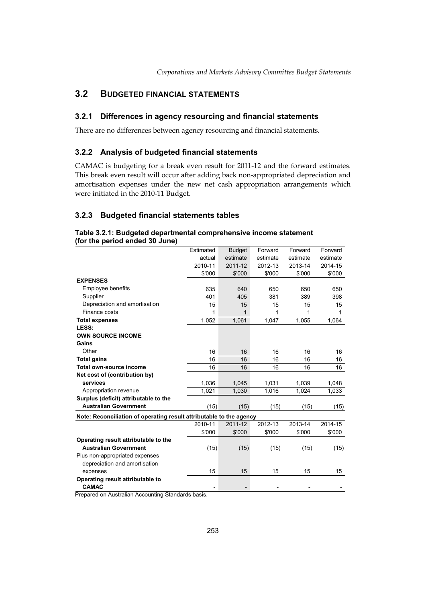## **3.2 BUDGETED FINANCIAL STATEMENTS**

## **3.2.1 Differences in agency resourcing and financial statements**

There are no differences between agency resourcing and financial statements*.* 

## **3.2.2 Analysis of budgeted financial statements**

CAMAC is budgeting for a break even result for 2011-12 and the forward estimates. This break even result will occur after adding back non-appropriated depreciation and amortisation expenses under the new net cash appropriation arrangements which were initiated in the 2010-11 Budget.

## **3.2.3 Budgeted financial statements tables**

### **Table 3.2.1: Budgeted departmental comprehensive income statement (for the period ended 30 June)**

|                                                                     | Estimated | <b>Budget</b> | Forward  | Forward  | Forward  |
|---------------------------------------------------------------------|-----------|---------------|----------|----------|----------|
|                                                                     | actual    | estimate      | estimate | estimate | estimate |
|                                                                     | 2010-11   | 2011-12       | 2012-13  | 2013-14  | 2014-15  |
|                                                                     | \$'000    | \$'000        | \$'000   | \$'000   | \$'000   |
| <b>EXPENSES</b>                                                     |           |               |          |          |          |
| Employee benefits                                                   | 635       | 640           | 650      | 650      | 650      |
| Supplier                                                            | 401       | 405           | 381      | 389      | 398      |
| Depreciation and amortisation                                       | 15        | 15            | 15       | 15       | 15       |
| Finance costs                                                       | 1         | 1             | 1        | 1        | 1        |
| <b>Total expenses</b>                                               | 1,052     | 1,061         | 1,047    | 1,055    | 1,064    |
| LESS:                                                               |           |               |          |          |          |
| <b>OWN SOURCE INCOME</b>                                            |           |               |          |          |          |
| Gains                                                               |           |               |          |          |          |
| Other                                                               | 16        | 16            | 16       | 16       | 16       |
| <b>Total gains</b>                                                  | 16        | 16            | 16       | 16       | 16       |
| Total own-source income                                             | 16        | 16            | 16       | 16       | 16       |
| Net cost of (contribution by)                                       |           |               |          |          |          |
| services                                                            | 1,036     | 1.045         | 1,031    | 1,039    | 1,048    |
| Appropriation revenue                                               | 1.021     | 1.030         | 1.016    | 1.024    | 1,033    |
| Surplus (deficit) attributable to the                               |           |               |          |          |          |
| <b>Australian Government</b>                                        | (15)      | (15)          | (15)     | (15)     | (15)     |
| Note: Reconciliation of operating result attributable to the agency |           |               |          |          |          |
|                                                                     | 2010-11   | 2011-12       | 2012-13  | 2013-14  | 2014-15  |
|                                                                     | \$'000    | \$'000        | \$'000   | \$'000   | \$'000   |
| Operating result attributable to the                                |           |               |          |          |          |
| <b>Australian Government</b>                                        | (15)      | (15)          | (15)     | (15)     | (15)     |
| Plus non-appropriated expenses                                      |           |               |          |          |          |
| depreciation and amortisation                                       |           |               |          |          |          |
| expenses                                                            | 15        | 15            | 15       | 15       | 15       |
| Operating result attributable to                                    |           |               |          |          |          |
| <b>CAMAC</b>                                                        |           |               |          |          |          |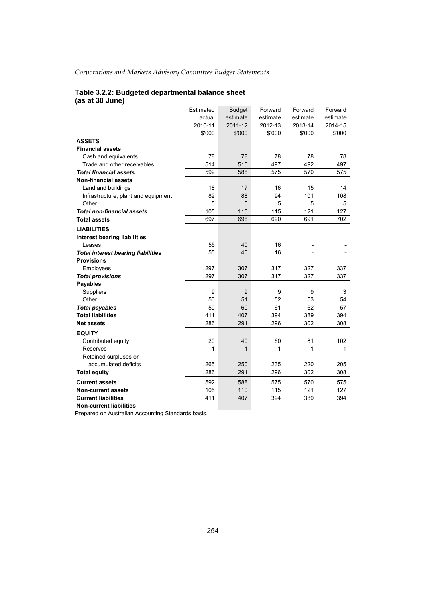#### **Table 3.2.2: Budgeted departmental balance sheet (as at 30 June)**

|                                           | Estimated      | <b>Budget</b> | Forward        | Forward                  | Forward                  |
|-------------------------------------------|----------------|---------------|----------------|--------------------------|--------------------------|
|                                           | actual         | estimate      | estimate       | estimate                 | estimate                 |
|                                           | 2010-11        | 2011-12       | 2012-13        | 2013-14                  | 2014-15                  |
|                                           | \$'000         | \$'000        | \$'000         | \$'000                   | \$'000                   |
| <b>ASSETS</b>                             |                |               |                |                          |                          |
| <b>Financial assets</b>                   |                |               |                |                          |                          |
| Cash and equivalents                      | 78             | 78            | 78             | 78                       | 78                       |
| Trade and other receivables               | 514            | 510           | 497            | 492                      | 497                      |
| <b>Total financial assets</b>             | 592            | 588           | 575            | 570                      | 575                      |
| <b>Non-financial assets</b>               |                |               |                |                          |                          |
| Land and buildings                        | 18             | 17            | 16             | 15                       | 14                       |
| Infrastructure, plant and equipment       | 82             | 88            | 94             | 101                      | 108                      |
| Other                                     | 5              | 5             | 5              | 5                        | 5                        |
| <b>Total non-financial assets</b>         | 105            | 110           | 115            | 121                      | 127                      |
| <b>Total assets</b>                       | 697            | 698           | 690            | 691                      | 702                      |
| <b>LIABILITIES</b>                        |                |               |                |                          |                          |
| <b>Interest bearing liabilities</b>       |                |               |                |                          |                          |
| Leases                                    | 55             | 40            | 16             |                          |                          |
| <b>Total interest bearing liabilities</b> | 55             | 40            | 16             |                          |                          |
| <b>Provisions</b>                         |                |               |                |                          |                          |
| Employees                                 | 297            | 307           | 317            | 327                      | 337                      |
| <b>Total provisions</b>                   | 297            | 307           | 317            | 327                      | 337                      |
| <b>Payables</b>                           |                |               |                |                          |                          |
| Suppliers                                 | 9              | 9             | 9              | 9                        | 3                        |
| Other                                     | 50             | 51            | 52             | 53                       | 54                       |
| <b>Total payables</b>                     | 59             | 60            | 61             | 62                       | 57                       |
| <b>Total liabilities</b>                  | 411            | 407           | 394            | 389                      | 394                      |
| <b>Net assets</b>                         | 286            | 291           | 296            | 302                      | 308                      |
| <b>EQUITY</b>                             |                |               |                |                          |                          |
| Contributed equity                        | 20             | 40            | 60             | 81                       | 102                      |
| Reserves                                  | 1              | $\mathbf 1$   | 1              | 1                        | 1                        |
| Retained surpluses or                     |                |               |                |                          |                          |
| accumulated deficits                      | 265            | 250           | 235            | 220                      | 205                      |
| <b>Total equity</b>                       | 286            | 291           | 296            | 302                      | 308                      |
| <b>Current assets</b>                     | 592            | 588           | 575            | 570                      | 575                      |
| <b>Non-current assets</b>                 | 105            | 110           | 115            | 121                      | 127                      |
| <b>Current liabilities</b>                | 411            | 407           | 394            | 389                      | 394                      |
| <b>Non-current liabilities</b>            | $\overline{a}$ |               | $\overline{a}$ | $\overline{\phantom{a}}$ | $\overline{\phantom{a}}$ |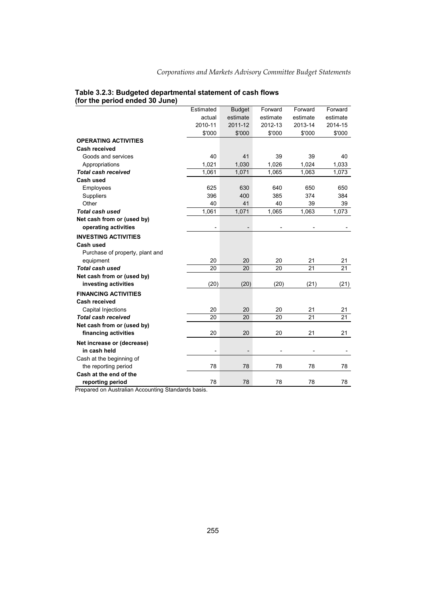|                                 | Estimated                | <b>Budget</b> | Forward  | Forward  | Forward  |
|---------------------------------|--------------------------|---------------|----------|----------|----------|
|                                 | actual                   | estimate      | estimate | estimate | estimate |
|                                 | 2010-11                  | 2011-12       | 2012-13  | 2013-14  | 2014-15  |
|                                 | \$'000                   | \$'000        | \$'000   | \$'000   | \$'000   |
| <b>OPERATING ACTIVITIES</b>     |                          |               |          |          |          |
| <b>Cash received</b>            |                          |               |          |          |          |
| Goods and services              | 40                       | 41            | 39       | 39       | 40       |
| Appropriations                  | 1,021                    | 1,030         | 1,026    | 1,024    | 1,033    |
| <b>Total cash received</b>      | 1,061                    | 1,071         | 1,065    | 1,063    | 1,073    |
| Cash used                       |                          |               |          |          |          |
| Employees                       | 625                      | 630           | 640      | 650      | 650      |
| Suppliers                       | 396                      | 400           | 385      | 374      | 384      |
| Other                           | 40                       | 41            | 40       | 39       | 39       |
| Total cash used                 | 1,061                    | 1,071         | 1,065    | 1,063    | 1,073    |
| Net cash from or (used by)      |                          |               |          |          |          |
| operating activities            | $\overline{\phantom{a}}$ |               |          |          |          |
| <b>INVESTING ACTIVITIES</b>     |                          |               |          |          |          |
| Cash used                       |                          |               |          |          |          |
| Purchase of property, plant and |                          |               |          |          |          |
| equipment                       | 20                       | 20            | 20       | 21       | 21       |
| <b>Total cash used</b>          | 20                       | 20            | 20       | 21       | 21       |
| Net cash from or (used by)      |                          |               |          |          |          |
| investing activities            | (20)                     | (20)          | (20)     | (21)     | (21)     |
| <b>FINANCING ACTIVITIES</b>     |                          |               |          |          |          |
| <b>Cash received</b>            |                          |               |          |          |          |
| Capital Injections              | 20                       | 20            | 20       | 21       | 21       |
| <b>Total cash received</b>      | 20                       | 20            | 20       | 21       | 21       |
| Net cash from or (used by)      |                          |               |          |          |          |
| financing activities            | 20                       | 20            | 20       | 21       | 21       |
| Net increase or (decrease)      |                          |               |          |          |          |
| in cash held                    | $\overline{a}$           |               |          |          |          |
| Cash at the beginning of        |                          |               |          |          |          |
| the reporting period            | 78                       | 78            | 78       | 78       | 78       |
| Cash at the end of the          |                          |               |          |          |          |
| reporting period                | 78                       | 78            | 78       | 78       | 78       |
|                                 |                          |               |          |          |          |

### **Table 3.2.3: Budgeted departmental statement of cash flows (for the period ended 30 June)**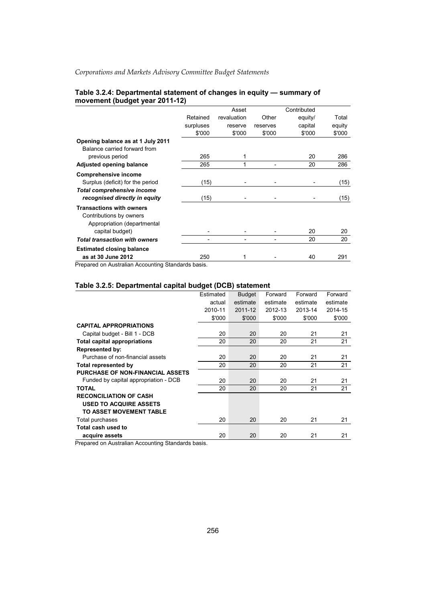|                                      |           | Asset       |          | Contributed |        |
|--------------------------------------|-----------|-------------|----------|-------------|--------|
|                                      | Retained  | revaluation | Other    | equity/     | Total  |
|                                      | surpluses | reserve     | reserves | capital     | equity |
|                                      | \$'000    | \$'000      | \$'000   | \$'000      | \$'000 |
| Opening balance as at 1 July 2011    |           |             |          |             |        |
| Balance carried forward from         |           |             |          |             |        |
| previous period                      | 265       |             |          | 20          | 286    |
| Adjusted opening balance             | 265       |             |          | 20          | 286    |
| <b>Comprehensive income</b>          |           |             |          |             |        |
| Surplus (deficit) for the period     | (15)      |             |          |             | (15)   |
| <b>Total comprehensive income</b>    |           |             |          |             |        |
| recognised directly in equity        | (15)      |             |          |             | (15)   |
| <b>Transactions with owners</b>      |           |             |          |             |        |
| Contributions by owners              |           |             |          |             |        |
| Appropriation (departmental          |           |             |          |             |        |
| capital budget)                      |           |             |          | 20          | 20     |
| <b>Total transaction with owners</b> |           |             |          | 20          | 20     |
| <b>Estimated closing balance</b>     |           |             |          |             |        |
| as at 30 June 2012                   | 250       |             |          | 40          | 291    |

### **Table 3.2.4: Departmental statement of changes in equity — summary of movement (budget year 2011-12)**

Prepared on Australian Accounting Standards basis.

### **Table 3.2.5: Departmental capital budget (DCB) statement**

|                                         | Estimated | <b>Budget</b> | Forward  | Forward  | Forward  |
|-----------------------------------------|-----------|---------------|----------|----------|----------|
|                                         | actual    | estimate      | estimate | estimate | estimate |
|                                         | 2010-11   | 2011-12       | 2012-13  | 2013-14  | 2014-15  |
|                                         | \$'000    | \$'000        | \$'000   | \$'000   | \$'000   |
| <b>CAPITAL APPROPRIATIONS</b>           |           |               |          |          |          |
| Capital budget - Bill 1 - DCB           | 20        | 20            | 20       | 21       | 21       |
| <b>Total capital appropriations</b>     | 20        | 20            | 20       | 21       | 21       |
| <b>Represented by:</b>                  |           |               |          |          |          |
| Purchase of non-financial assets        | 20        | 20            | 20       | 21       | 21       |
| Total represented by                    | 20        | 20            | 20       | 21       | 21       |
| <b>PURCHASE OF NON-FINANCIAL ASSETS</b> |           |               |          |          |          |
| Funded by capital appropriation - DCB   | 20        | 20            | 20       | 21       | 21       |
| <b>TOTAL</b>                            | 20        | 20            | 20       | 21       | 21       |
| <b>RECONCILIATION OF CASH</b>           |           |               |          |          |          |
| <b>USED TO ACQUIRE ASSETS</b>           |           |               |          |          |          |
| TO ASSET MOVEMENT TABLE                 |           |               |          |          |          |
| Total purchases                         | 20        | 20            | 20       | 21       | 21       |
| Total cash used to                      |           |               |          |          |          |
| acquire assets                          | 20        | 20            | 20       | 21       | 21       |